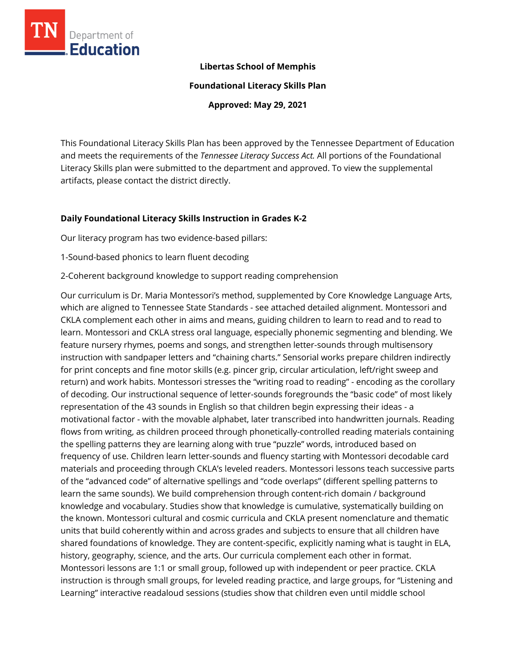

### **Libertas School of Memphis**

**Foundational Literacy Skills Plan**

**Approved: May 29, 2021**

This Foundational Literacy Skills Plan has been approved by the Tennessee Department of Education and meets the requirements of the *Tennessee Literacy Success Act.* All portions of the Foundational Literacy Skills plan were submitted to the department and approved. To view the supplemental artifacts, please contact the district directly.

### **Daily Foundational Literacy Skills Instruction in Grades K-2**

Our literacy program has two evidence-based pillars:

1-Sound-based phonics to learn fluent decoding

2-Coherent background knowledge to support reading comprehension

Our curriculum is Dr. Maria Montessori's method, supplemented by Core Knowledge Language Arts, which are aligned to Tennessee State Standards - see attached detailed alignment. Montessori and CKLA complement each other in aims and means, guiding children to learn to read and to read to learn. Montessori and CKLA stress oral language, especially phonemic segmenting and blending. We feature nursery rhymes, poems and songs, and strengthen letter-sounds through multisensory instruction with sandpaper letters and "chaining charts." Sensorial works prepare children indirectly for print concepts and fine motor skills (e.g. pincer grip, circular articulation, left/right sweep and return) and work habits. Montessori stresses the "writing road to reading" - encoding as the corollary of decoding. Our instructional sequence of letter-sounds foregrounds the "basic code" of most likely representation of the 43 sounds in English so that children begin expressing their ideas - a motivational factor - with the movable alphabet, later transcribed into handwritten journals. Reading flows from writing, as children proceed through phonetically-controlled reading materials containing the spelling patterns they are learning along with true "puzzle" words, introduced based on frequency of use. Children learn letter-sounds and fluency starting with Montessori decodable card materials and proceeding through CKLA's leveled readers. Montessori lessons teach successive parts of the "advanced code" of alternative spellings and "code overlaps" (different spelling patterns to learn the same sounds). We build comprehension through content-rich domain / background knowledge and vocabulary. Studies show that knowledge is cumulative, systematically building on the known. Montessori cultural and cosmic curricula and CKLA present nomenclature and thematic units that build coherently within and across grades and subjects to ensure that all children have shared foundations of knowledge. They are content-specific, explicitly naming what is taught in ELA, history, geography, science, and the arts. Our curricula complement each other in format. Montessori lessons are 1:1 or small group, followed up with independent or peer practice. CKLA instruction is through small groups, for leveled reading practice, and large groups, for "Listening and Learning" interactive readaloud sessions (studies show that children even until middle school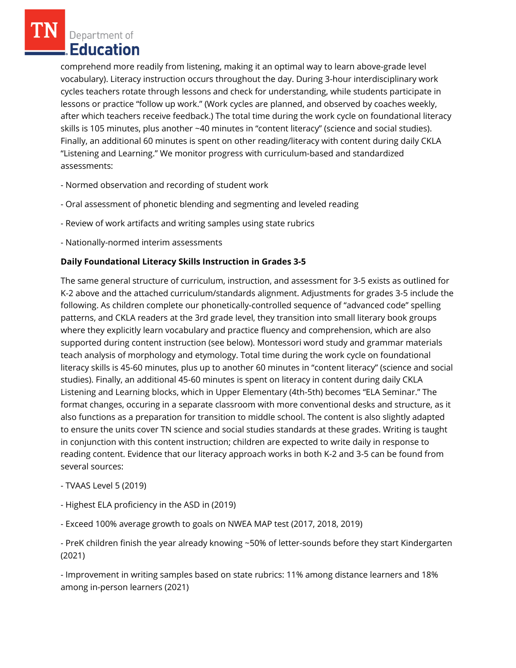comprehend more readily from listening, making it an optimal way to learn above-grade level vocabulary). Literacy instruction occurs throughout the day. During 3-hour interdisciplinary work cycles teachers rotate through lessons and check for understanding, while students participate in lessons or practice "follow up work." (Work cycles are planned, and observed by coaches weekly, after which teachers receive feedback.) The total time during the work cycle on foundational literacy skills is 105 minutes, plus another ~40 minutes in "content literacy" (science and social studies). Finally, an additional 60 minutes is spent on other reading/literacy with content during daily CKLA "Listening and Learning." We monitor progress with curriculum-based and standardized assessments:

- Normed observation and recording of student work
- Oral assessment of phonetic blending and segmenting and leveled reading
- Review of work artifacts and writing samples using state rubrics
- Nationally-normed interim assessments

## **Daily Foundational Literacy Skills Instruction in Grades 3-5**

The same general structure of curriculum, instruction, and assessment for 3-5 exists as outlined for K-2 above and the attached curriculum/standards alignment. Adjustments for grades 3-5 include the following. As children complete our phonetically-controlled sequence of "advanced code" spelling patterns, and CKLA readers at the 3rd grade level, they transition into small literary book groups where they explicitly learn vocabulary and practice fluency and comprehension, which are also supported during content instruction (see below). Montessori word study and grammar materials teach analysis of morphology and etymology. Total time during the work cycle on foundational literacy skills is 45-60 minutes, plus up to another 60 minutes in "content literacy" (science and social studies). Finally, an additional 45-60 minutes is spent on literacy in content during daily CKLA Listening and Learning blocks, which in Upper Elementary (4th-5th) becomes "ELA Seminar." The format changes, occuring in a separate classroom with more conventional desks and structure, as it also functions as a preparation for transition to middle school. The content is also slightly adapted to ensure the units cover TN science and social studies standards at these grades. Writing is taught in conjunction with this content instruction; children are expected to write daily in response to reading content. Evidence that our literacy approach works in both K-2 and 3-5 can be found from several sources:

- TVAAS Level 5 (2019)
- Highest ELA proficiency in the ASD in (2019)
- Exceed 100% average growth to goals on NWEA MAP test (2017, 2018, 2019)

- PreK children finish the year already knowing ~50% of letter-sounds before they start Kindergarten (2021)

- Improvement in writing samples based on state rubrics: 11% among distance learners and 18% among in-person learners (2021)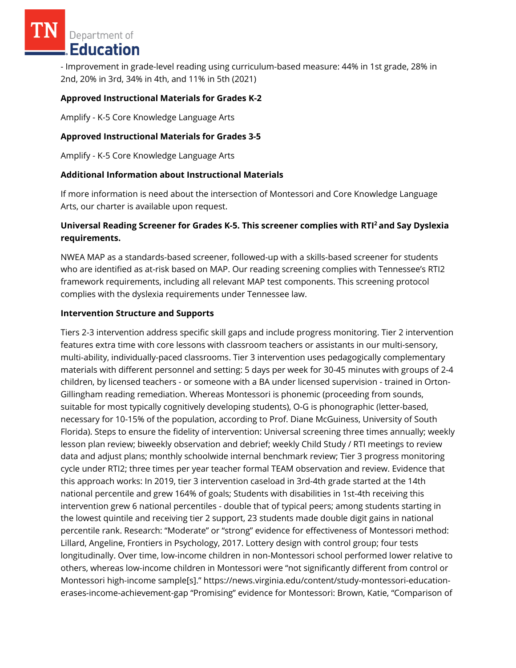- Improvement in grade-level reading using curriculum-based measure: 44% in 1st grade, 28% in 2nd, 20% in 3rd, 34% in 4th, and 11% in 5th (2021)

### **Approved Instructional Materials for Grades K-2**

Amplify - K-5 Core Knowledge Language Arts

## **Approved Instructional Materials for Grades 3-5**

Amplify - K-5 Core Knowledge Language Arts

### **Additional Information about Instructional Materials**

If more information is need about the intersection of Montessori and Core Knowledge Language Arts, our charter is available upon request.

# **Universal Reading Screener for Grades K-5. This screener complies with RTI<sup>2</sup>and Say Dyslexia requirements.**

NWEA MAP as a standards-based screener, followed-up with a skills-based screener for students who are identified as at-risk based on MAP. Our reading screening complies with Tennessee's RTI2 framework requirements, including all relevant MAP test components. This screening protocol complies with the dyslexia requirements under Tennessee law.

### **Intervention Structure and Supports**

Tiers 2-3 intervention address specific skill gaps and include progress monitoring. Tier 2 intervention features extra time with core lessons with classroom teachers or assistants in our multi-sensory, multi-ability, individually-paced classrooms. Tier 3 intervention uses pedagogically complementary materials with different personnel and setting: 5 days per week for 30-45 minutes with groups of 2-4 children, by licensed teachers - or someone with a BA under licensed supervision - trained in Orton-Gillingham reading remediation. Whereas Montessori is phonemic (proceeding from sounds, suitable for most typically cognitively developing students), O-G is phonographic (letter-based, necessary for 10-15% of the population, according to Prof. Diane McGuiness, University of South Florida). Steps to ensure the fidelity of intervention: Universal screening three times annually; weekly lesson plan review; biweekly observation and debrief; weekly Child Study / RTI meetings to review data and adjust plans; monthly schoolwide internal benchmark review; Tier 3 progress monitoring cycle under RTI2; three times per year teacher formal TEAM observation and review. Evidence that this approach works: In 2019, tier 3 intervention caseload in 3rd-4th grade started at the 14th national percentile and grew 164% of goals; Students with disabilities in 1st-4th receiving this intervention grew 6 national percentiles - double that of typical peers; among students starting in the lowest quintile and receiving tier 2 support, 23 students made double digit gains in national percentile rank. Research: "Moderate" or "strong" evidence for effectiveness of Montessori method: Lillard, Angeline, Frontiers in Psychology, 2017. Lottery design with control group; four tests longitudinally. Over time, low-income children in non-Montessori school performed lower relative to others, whereas low-income children in Montessori were "not significantly different from control or Montessori high-income sample[s]." https://news.virginia.edu/content/study-montessori-educationerases-income-achievement-gap "Promising" evidence for Montessori: Brown, Katie, "Comparison of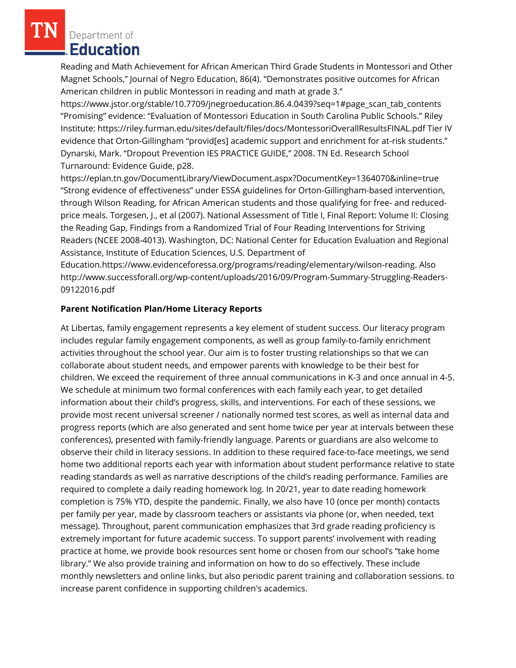Reading and Math Achievement for African American Third Grade Students in Montessori and Other Magnet Schools," Journal of Negro Education, 86(4). "Demonstrates positive outcomes for African American children in public Montessori in reading and math at grade 3."

https://www.jstor.org/stable/10.7709/jnegroeducation.86.4.0439?seq=1#page\_scan\_tab\_contents "Promising" evidence: "Evaluation of Montessori Education in South Carolina Public Schools." Riley Institute: https://riley.furman.edu/sites/default/files/docs/MontessoriOverallResultsFINAL.pdf Tier IV evidence that Orton-Gillingham "provid[es] academic support and enrichment for at-risk students." Dynarski, Mark. "Dropout Prevention IES PRACTICE GUIDE," 2008. TN Ed. Research School Turnaround: Evidence Guide, p28.

https://eplan.tn.gov/DocumentLibrary/ViewDocument.aspx?DocumentKey=1364070&inline=true "Strong evidence of effectiveness" under ESSA guidelines for Orton-Gillingham-based intervention, through Wilson Reading, for African American students and those qualifying for free- and reducedprice meals. Torgesen, J., et al (2007). National Assessment of Title I, Final Report: Volume II: Closing the Reading Gap, Findings from a Randomized Trial of Four Reading Interventions for Striving Readers (NCEE 2008-4013). Washington, DC: National Center for Education Evaluation and Regional Assistance, Institute of Education Sciences, U.S. Department of

Education.https://www.evidenceforessa.org/programs/reading/elementary/wilson-reading. Also http://www.successforall.org/wp-content/uploads/2016/09/Program-Summary-Struggling-Readers-09122016.pdf

### **Parent Notification Plan/Home Literacy Reports**

At Libertas, family engagement represents a key element of student success. Our literacy program includes regular family engagement components, as well as group family-to-family enrichment activities throughout the school year. Our aim is to foster trusting relationships so that we can collaborate about student needs, and empower parents with knowledge to be their best for children. We exceed the requirement of three annual communications in K-3 and once annual in 4-5. We schedule at minimum two formal conferences with each family each year, to get detailed information about their child's progress, skills, and interventions. For each of these sessions, we provide most recent universal screener / nationally normed test scores, as well as internal data and progress reports (which are also generated and sent home twice per year at intervals between these conferences), presented with family-friendly language. Parents or guardians are also welcome to observe their child in literacy sessions. In addition to these required face-to-face meetings, we send home two additional reports each year with information about student performance relative to state reading standards as well as narrative descriptions of the child's reading performance. Families are required to complete a daily reading homework log. In 20/21, year to date reading homework completion is 75% YTD, despite the pandemic. Finally, we also have 10 (once per month) contacts per family per year, made by classroom teachers or assistants via phone (or, when needed, text message). Throughout, parent communication emphasizes that 3rd grade reading proficiency is extremely important for future academic success. To support parents' involvement with reading practice at home, we provide book resources sent home or chosen from our school's "take home library." We also provide training and information on how to do so effectively. These include monthly newsletters and online links, but also periodic parent training and collaboration sessions. to increase parent confidence in supporting children's academics.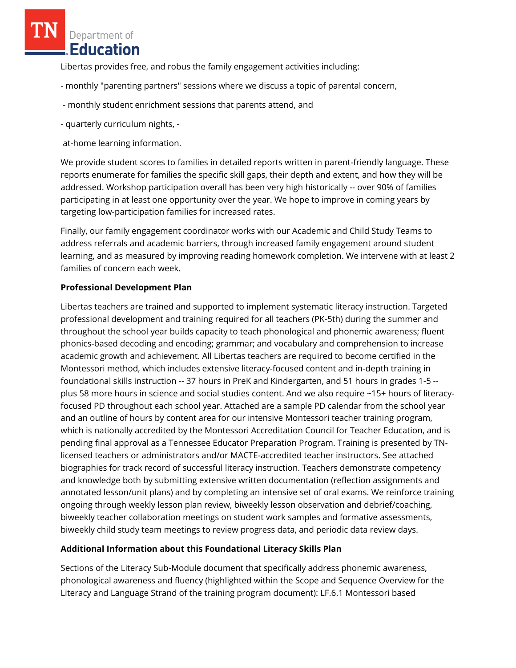Libertas provides free, and robus the family engagement activities including:

- monthly "parenting partners" sessions where we discuss a topic of parental concern,
- monthly student enrichment sessions that parents attend, and
- quarterly curriculum nights, -

at-home learning information.

We provide student scores to families in detailed reports written in parent-friendly language. These reports enumerate for families the specific skill gaps, their depth and extent, and how they will be addressed. Workshop participation overall has been very high historically -- over 90% of families participating in at least one opportunity over the year. We hope to improve in coming years by targeting low-participation families for increased rates.

Finally, our family engagement coordinator works with our Academic and Child Study Teams to address referrals and academic barriers, through increased family engagement around student learning, and as measured by improving reading homework completion. We intervene with at least 2 families of concern each week.

## **Professional Development Plan**

Libertas teachers are trained and supported to implement systematic literacy instruction. Targeted professional development and training required for all teachers (PK-5th) during the summer and throughout the school year builds capacity to teach phonological and phonemic awareness; fluent phonics-based decoding and encoding; grammar; and vocabulary and comprehension to increase academic growth and achievement. All Libertas teachers are required to become certified in the Montessori method, which includes extensive literacy-focused content and in-depth training in foundational skills instruction -- 37 hours in PreK and Kindergarten, and 51 hours in grades 1-5 - plus 58 more hours in science and social studies content. And we also require ~15+ hours of literacyfocused PD throughout each school year. Attached are a sample PD calendar from the school year and an outline of hours by content area for our intensive Montessori teacher training program, which is nationally accredited by the Montessori Accreditation Council for Teacher Education, and is pending final approval as a Tennessee Educator Preparation Program. Training is presented by TNlicensed teachers or administrators and/or MACTE-accredited teacher instructors. See attached biographies for track record of successful literacy instruction. Teachers demonstrate competency and knowledge both by submitting extensive written documentation (reflection assignments and annotated lesson/unit plans) and by completing an intensive set of oral exams. We reinforce training ongoing through weekly lesson plan review, biweekly lesson observation and debrief/coaching, biweekly teacher collaboration meetings on student work samples and formative assessments, biweekly child study team meetings to review progress data, and periodic data review days.

# **Additional Information about this Foundational Literacy Skills Plan**

Sections of the Literacy Sub-Module document that specifically address phonemic awareness, phonological awareness and fluency (highlighted within the Scope and Sequence Overview for the Literacy and Language Strand of the training program document): LF.6.1 Montessori based